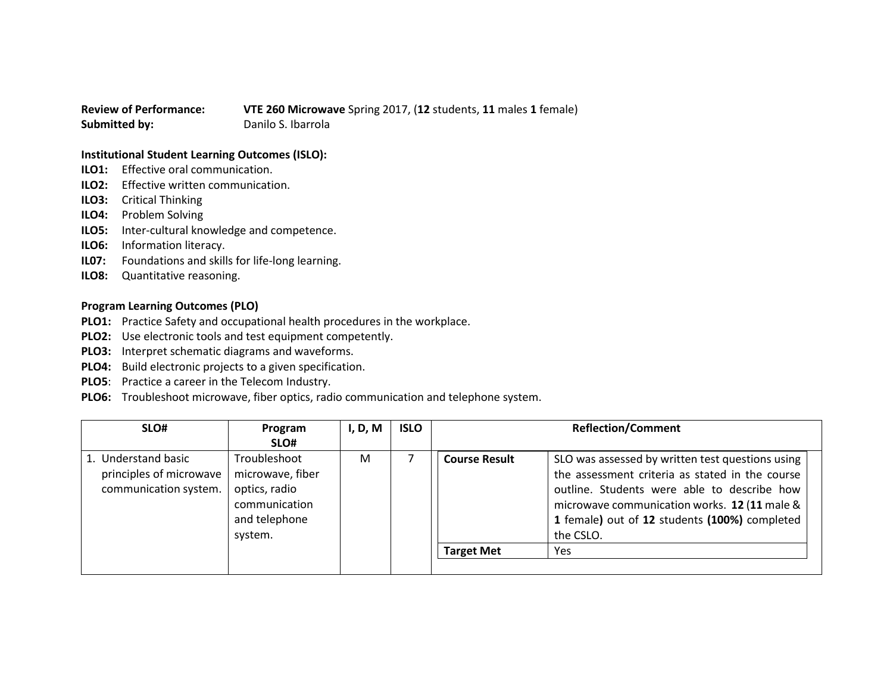**Review of Performance: VTE 260 Microwave** Spring 2017, (**12** students, **11** males **1** female) **Submitted by:** Danilo S. Ibarrola

## **Institutional Student Learning Outcomes (ISLO):**

- **ILO1:** Effective oral communication.
- **ILO2:** Effective written communication.
- **ILO3:** Critical Thinking
- **ILO4:** Problem Solving
- **ILO5:** Inter-cultural knowledge and competence.
- **ILO6:** Information literacy.
- **IL07:** Foundations and skills for life-long learning.
- **ILO8:** Quantitative reasoning.

## **Program Learning Outcomes (PLO)**

- **PLO1:** Practice Safety and occupational health procedures in the workplace.
- **PLO2:** Use electronic tools and test equipment competently.
- **PLO3:** Interpret schematic diagrams and waveforms.
- **PLO4:** Build electronic projects to a given specification.
- **PLO5**: Practice a career in the Telecom Industry.
- **PLO6:** Troubleshoot microwave, fiber optics, radio communication and telephone system.

| SLO#                                                                    | Program<br>SLO#                                                                                | I, D, M | <b>ISLO</b> |                                           | <b>Reflection/Comment</b>                                                                                                                                                                                                                                               |
|-------------------------------------------------------------------------|------------------------------------------------------------------------------------------------|---------|-------------|-------------------------------------------|-------------------------------------------------------------------------------------------------------------------------------------------------------------------------------------------------------------------------------------------------------------------------|
| 1. Understand basic<br>principles of microwave<br>communication system. | Troubleshoot<br>microwave, fiber<br>optics, radio<br>communication<br>and telephone<br>system. | M       |             | <b>Course Result</b><br><b>Target Met</b> | SLO was assessed by written test questions using<br>the assessment criteria as stated in the course<br>outline. Students were able to describe how<br>microwave communication works. 12 (11 male &<br>1 female) out of 12 students (100%) completed<br>the CSLO.<br>Yes |
|                                                                         |                                                                                                |         |             |                                           |                                                                                                                                                                                                                                                                         |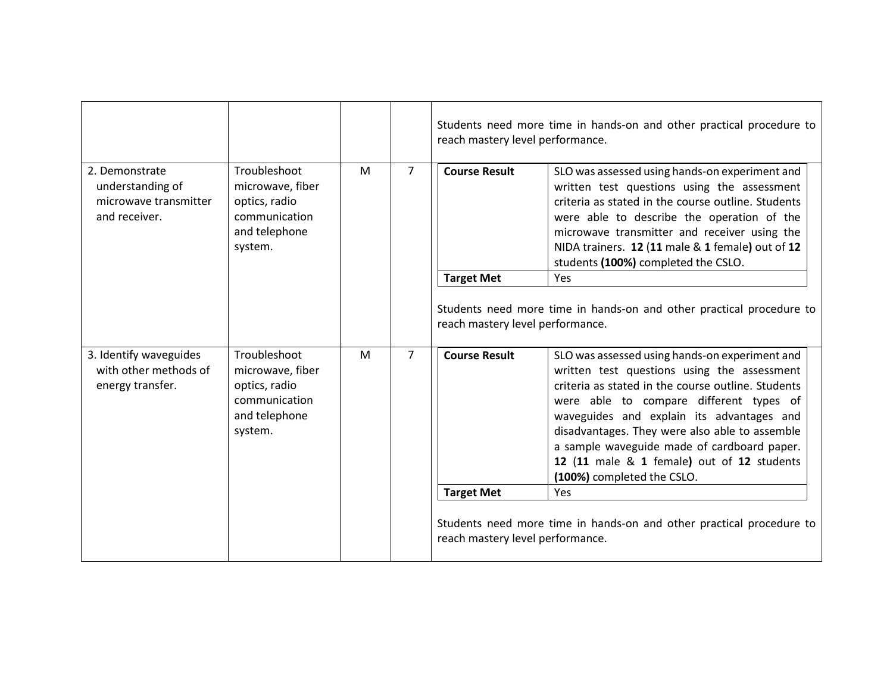|                                                                                                                                                                       |                                                                                                |                |                      | Students need more time in hands-on and other practical procedure to<br>reach mastery level performance.                                                                                                                                                                                                                                                                                                                 |                                                                                                                                                                                                                                                                                                                                              |
|-----------------------------------------------------------------------------------------------------------------------------------------------------------------------|------------------------------------------------------------------------------------------------|----------------|----------------------|--------------------------------------------------------------------------------------------------------------------------------------------------------------------------------------------------------------------------------------------------------------------------------------------------------------------------------------------------------------------------------------------------------------------------|----------------------------------------------------------------------------------------------------------------------------------------------------------------------------------------------------------------------------------------------------------------------------------------------------------------------------------------------|
| 2. Demonstrate<br>understanding of<br>microwave transmitter<br>and receiver.                                                                                          | Troubleshoot<br>microwave, fiber<br>optics, radio<br>communication<br>and telephone<br>system. | M              | $\overline{7}$       | <b>Course Result</b>                                                                                                                                                                                                                                                                                                                                                                                                     | SLO was assessed using hands-on experiment and<br>written test questions using the assessment<br>criteria as stated in the course outline. Students<br>were able to describe the operation of the<br>microwave transmitter and receiver using the<br>NIDA trainers. 12 (11 male & 1 female) out of 12<br>students (100%) completed the CSLO. |
|                                                                                                                                                                       |                                                                                                |                |                      | <b>Target Met</b>                                                                                                                                                                                                                                                                                                                                                                                                        | Yes                                                                                                                                                                                                                                                                                                                                          |
|                                                                                                                                                                       |                                                                                                |                |                      | reach mastery level performance.                                                                                                                                                                                                                                                                                                                                                                                         | Students need more time in hands-on and other practical procedure to                                                                                                                                                                                                                                                                         |
| 3. Identify waveguides<br>Troubleshoot<br>with other methods of<br>microwave, fiber<br>energy transfer.<br>optics, radio<br>communication<br>and telephone<br>system. | M                                                                                              | $\overline{7}$ | <b>Course Result</b> | SLO was assessed using hands-on experiment and<br>written test questions using the assessment<br>criteria as stated in the course outline. Students<br>were able to compare different types of<br>waveguides and explain its advantages and<br>disadvantages. They were also able to assemble<br>a sample waveguide made of cardboard paper.<br>12 (11 male & 1 female) out of 12 students<br>(100%) completed the CSLO. |                                                                                                                                                                                                                                                                                                                                              |
|                                                                                                                                                                       |                                                                                                |                |                      | <b>Target Met</b>                                                                                                                                                                                                                                                                                                                                                                                                        | Yes                                                                                                                                                                                                                                                                                                                                          |
|                                                                                                                                                                       |                                                                                                |                |                      | reach mastery level performance.                                                                                                                                                                                                                                                                                                                                                                                         | Students need more time in hands-on and other practical procedure to                                                                                                                                                                                                                                                                         |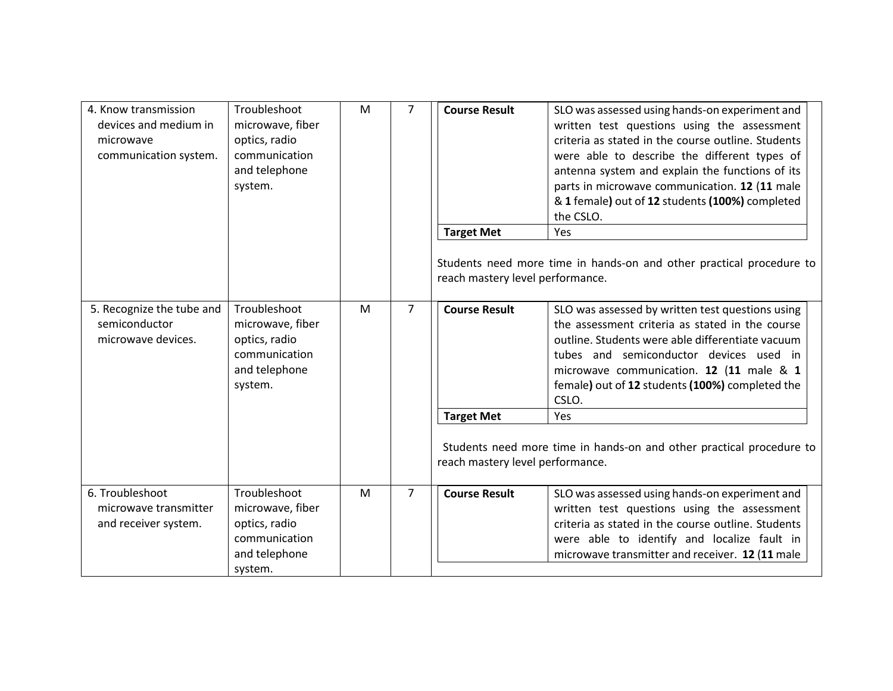| 4. Know transmission<br>devices and medium in<br>microwave<br>communication system. | Troubleshoot<br>microwave, fiber<br>optics, radio<br>communication<br>and telephone<br>system. | M | $\overline{7}$ | <b>Course Result</b>             | SLO was assessed using hands-on experiment and<br>written test questions using the assessment<br>criteria as stated in the course outline. Students<br>were able to describe the different types of<br>antenna system and explain the functions of its<br>parts in microwave communication. 12 (11 male<br>& 1 female) out of 12 students (100%) completed<br>the CSLO. |
|-------------------------------------------------------------------------------------|------------------------------------------------------------------------------------------------|---|----------------|----------------------------------|-------------------------------------------------------------------------------------------------------------------------------------------------------------------------------------------------------------------------------------------------------------------------------------------------------------------------------------------------------------------------|
|                                                                                     |                                                                                                |   |                | <b>Target Met</b>                | Yes<br>Students need more time in hands-on and other practical procedure to                                                                                                                                                                                                                                                                                             |
|                                                                                     |                                                                                                |   |                | reach mastery level performance. |                                                                                                                                                                                                                                                                                                                                                                         |
| 5. Recognize the tube and<br>semiconductor<br>microwave devices.                    | Troubleshoot<br>microwave, fiber<br>optics, radio<br>communication<br>and telephone<br>system. | M | $\overline{7}$ | <b>Course Result</b>             | SLO was assessed by written test questions using<br>the assessment criteria as stated in the course<br>outline. Students were able differentiate vacuum<br>tubes and semiconductor devices used in<br>microwave communication. 12 (11 male & 1<br>female) out of 12 students (100%) completed the<br>CSLO.                                                              |
|                                                                                     |                                                                                                |   |                | <b>Target Met</b>                | Yes                                                                                                                                                                                                                                                                                                                                                                     |
|                                                                                     |                                                                                                |   |                | reach mastery level performance. | Students need more time in hands-on and other practical procedure to                                                                                                                                                                                                                                                                                                    |
| 6. Troubleshoot<br>microwave transmitter<br>and receiver system.                    | Troubleshoot<br>microwave, fiber<br>optics, radio<br>communication<br>and telephone<br>system. | M | $\overline{7}$ | <b>Course Result</b>             | SLO was assessed using hands-on experiment and<br>written test questions using the assessment<br>criteria as stated in the course outline. Students<br>were able to identify and localize fault in<br>microwave transmitter and receiver. 12 (11 male                                                                                                                   |